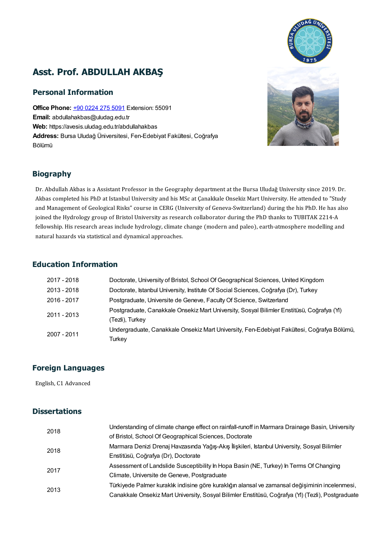# Asst. Prof. ABDULLAH AKBAŞ

### Personal Information

**Office Phone: +90 [0224](tel:+90 0224 275 5091) 275 5091 Extension: 55091** Email: abdullahakbas@uludag.edu.tr Web: https://avesis.uludag.edu.tr/abdullahakbas Address: Bursa Uludağ Üniversitesi, Fen-Edebiyat Fakültesi, Coğrafya Bölümü

#### Biography

Dr. Abdullah Akbas is a Assistant Professor in the Geography department at the Bursa Uludağ University since 2019. Dr. **Dr. Abdullah Akbas is a Assistant Professor in the Geography department at the Bursa Uludağ University since 2019. Dr.<br>Akbas completed his PhD at Istanbul University and his MSc at Çanakkale Onsekiz Mart University. He at** Dr. Abdullah Akbas is a Assistant Professor in the Geography department at the Bursa Uludağ University since 2019. Dr.<br>Akbas completed his PhD at Istanbul University and his MSc at Çanakkale Onsekiz Mart University. He att Akbas completed his PhD at Istanbul University and his MSc at Çanakkale Onsekiz Mart University. He attended to "Studend and Management of Geological Risks" course in CERG (University of Geneva-Switzerland) during the his and Management of Geological Risks" course in CERG (University of Geneva-Switzerland) during the his PhD. He has also<br>joined the Hydrology group of Bristol University as research collaborator during the PhD thanks to TUBIT joined the Hydrology group of Bristol University as resea<br>fellowship. His research areas include hydrology, climate<br>natural hazards via statistical and dynamical approaches.

#### Education Information

| 2017 - 2018 | Doctorate, University of Bristol, School Of Geographical Sciences, United Kingdom          |
|-------------|--------------------------------------------------------------------------------------------|
| 2013 - 2018 | Doctorate, Istanbul University, Institute Of Social Sciences, Coğrafya (Dr), Turkey        |
| 2016 - 2017 | Postgraduate, Universite de Geneve, Faculty Of Science, Switzerland                        |
| 2011 - 2013 | Postgraduate, Canakkale Onsekiz Mart University, Sosyal Bilimler Enstitüsü, Coğrafya (YI)  |
|             | (Tezli), Turkey                                                                            |
| 2007 - 2011 | Undergraduate, Canakkale Onsekiz Mart University, Fen-Edebiyat Fakültesi, Coğrafya Bölümü, |
|             | Turkey                                                                                     |

# **Foreign Languages**<br>English, C1 Advanced

#### **Dissertations**

| 2018 | Understanding of climate change effect on rainfall-runoff in Marmara Drainage Basin, University   |
|------|---------------------------------------------------------------------------------------------------|
|      | of Bristol, School Of Geographical Sciences, Doctorate                                            |
| 2018 | Marmara Denizi Drenaj Havzasında Yağış-Akış İlişkileri, İstanbul University, Sosyal Bilimler      |
|      | Enstitüsü, Coğrafya (Dr), Doctorate                                                               |
| 2017 | Assessment of Landslide Susceptibility In Hopa Basin (NE, Turkey) In Terms Of Changing            |
|      | Climate, Universite de Geneve, Postgraduate                                                       |
| 2013 | Türkiyede Palmer kuraklık indisine göre kuraklığın alansal ve zamansal değişiminin incelenmesi,   |
|      | Canakkale Onsekiz Mart University, Sosyal Bilimler Enstitüsü, Coğrafya (YI) (Tezli), Postgraduate |



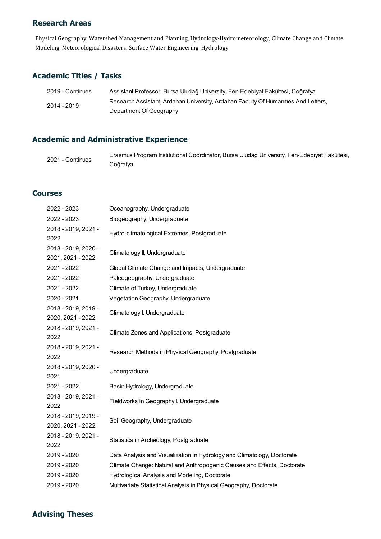#### Research Areas

Physical Geography, Watershed Management and Planning, Hydrology-Hydrometeorology, Climate Change and Climate Modeling, Meteorological Disasters, Surface Water Engineering, Hydrology

#### Academic Titles / Tasks

| 2019 - Continues | Assistant Professor, Bursa Uludağ University, Fen-Edebiyat Fakültesi, Coğrafya     |
|------------------|------------------------------------------------------------------------------------|
| 2014 - 2019      | Research Assistant, Ardahan University, Ardahan Faculty Of Humanities And Letters, |
|                  | Department Of Geography                                                            |

## Academic and Administrative Experience

| 2021 - Continues | Erasmus Program Institutional Coordinator, Bursa Uludağ University, Fen-Edebiyat Fakültesi, |
|------------------|---------------------------------------------------------------------------------------------|
|                  | Coğrafya                                                                                    |

#### **Courses**

| 2022 - 2023                              | Oceanography, Undergraduate                                             |
|------------------------------------------|-------------------------------------------------------------------------|
| 2022 - 2023                              | Biogeography, Undergraduate                                             |
| 2018 - 2019, 2021 -<br>2022              | Hydro-climatological Extremes, Postgraduate                             |
| 2018 - 2019, 2020 -<br>2021, 2021 - 2022 | Climatology II, Undergraduate                                           |
| 2021 - 2022                              | Global Climate Change and Impacts, Undergraduate                        |
| 2021 - 2022                              | Paleogeography, Undergraduate                                           |
| 2021 - 2022                              | Climate of Turkey, Undergraduate                                        |
| 2020 - 2021                              | Vegetation Geography, Undergraduate                                     |
| 2018 - 2019, 2019 -<br>2020, 2021 - 2022 | Climatology I, Undergraduate                                            |
| 2018 - 2019, 2021 -<br>2022              | Climate Zones and Applications, Postgraduate                            |
| 2018 - 2019, 2021 -<br>2022              | Research Methods in Physical Geography, Postgraduate                    |
| 2018 - 2019, 2020 -<br>2021              | Undergraduate                                                           |
| 2021 - 2022                              | Basin Hydrology, Undergraduate                                          |
| 2018 - 2019, 2021 -<br>2022              | Fieldworks in Geography I, Undergraduate                                |
| 2018 - 2019, 2019 -<br>2020, 2021 - 2022 | Soil Geography, Undergraduate                                           |
| 2018 - 2019, 2021 -<br>2022              | Statistics in Archeology, Postgraduate                                  |
| 2019 - 2020                              | Data Analysis and Visualization in Hydrology and Climatology, Doctorate |
| 2019 - 2020                              | Climate Change: Natural and Anthropogenic Causes and Effects, Doctorate |
| 2019 - 2020                              | Hydrological Analysis and Modeling, Doctorate                           |
| 2019 - 2020                              | Multivariate Statistical Analysis in Physical Geography, Doctorate      |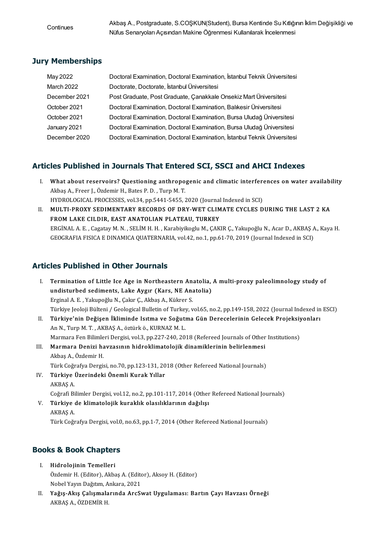Continues

Akbaş A., Postgraduate, S.COŞKUN(Student), Bursa Kentinde Su Kıtlığının İklim Değişikliği ve Nüfus Senaryoları Açısından Makine Öğrenmesi Kullanılarak İncelenmesi

### Jury Memberships

| May 2022      | Doctoral Examination, Doctoral Examination, İstanbul Teknik Üniversitesi |
|---------------|--------------------------------------------------------------------------|
| March 2022    | Doctorate, Doctorate, İstanbul Üniversitesi                              |
| December 2021 | Post Graduate, Post Graduate, Canakkale Onsekiz Mart Üniversitesi        |
| October 2021  | Doctoral Examination, Doctoral Examination, Balıkesir Üniversitesi       |
| October 2021  | Doctoral Examination, Doctoral Examination, Bursa Uludağ Üniversitesi    |
| January 2021  | Doctoral Examination, Doctoral Examination, Bursa Uludağ Üniversitesi    |
| December 2020 | Doctoral Examination, Doctoral Examination, İstanbul Teknik Üniversitesi |

- Articles Published in Journals That Entered SCI, SSCI and AHCI Indexes<br>I. What about reservoirs? Questioning anthropogenic and climatic interferences on water availability I. What about reservoirs? Questioning anthropogenic and climatic interferences on water availability Akbaş A., Freer J., Özdemir H., Bates P. D., Turp M.T. What about reservoirs? Questioning anthropogenic and climatic interferent<br>Akbaş A., Freer J., Özdemir H., Bates P. D. , Turp M. T.<br>HYDROLOGICAL PROCESSES, vol.34, pp.5441-5455, 2020 (Journal Indexed in SCI)<br>MIU TL PROYY SE
	- II. MULTI-PROXY SEDIMENTARY RECORDS OF DRY-WET CLIMATE CYCLES DURING THE LAST 2 KA FROM LAKE CILDIR, EAST ANATOLIAN PLATEAU, TURKEY HYDROLOGICAL PROCESSES, vol.34, pp.5441-5455, 2020 (Journal<br>MULTI-PROXY SEDIMENTARY RECORDS OF DRY-WET CLIM<br>FROM LAKE CILDIR, EAST ANATOLIAN PLATEAU, TURKEY ERGİNALA.E. ,CagatayM.N. ,SELİMH.H. ,KarabiyikogluM.,ÇAKIRÇ.,YakupoğluN.,AcarD.,AKBAŞA.,KayaH. GEOGRAFIAFISICAEDINAMICAQUATERNARIA,vol.42,no.1,pp.61-70,2019(Journal IndexedinSCI)

## Articles Published in Other Journals

- I. Termination of Little Ice Age in Northeastern Anatolia, Amulti-proxy paleolimnology study of Termination of Little Ice Age in Northeastern Anatolia,<br>undisturbed sediments, Lake Aygır (Kars, NE Anatolia)<br>Erginal A.E. Valunoğlu N. Calur C. Albas A. Külmar S. Termination of Little Ice Age in Northeastern Ana<br>undisturbed sediments, Lake Aygır (Kars, NE Ana<br>Erginal A.E., Yakupoğlu N., Çakır Ç., Akbaş A., Kükrer S.<br>Türkiye Jooleji Bülteni / Ceolegical Bulletin of Turkov v Erginal A. E. , Yakupoğlu N., Çakır Ç., Akbaş A., Kükrer S.<br>Türkiye Jeoloji Bülteni / Geological Bulletin of Turkey, vol.65, no.2, pp.149-158, 2022 (Journal Indexed in ESCI) Erginal A. E. , Yakupoğlu N., Çakır Ç., Akbaş A., Kükrer S.<br>Türkiye Jeoloji Bülteni / Geological Bulletin of Turkey, vol.65, no.2, pp.149-158, 2022 (Journal Indexed in<br>II. Türkiye'nin Değişen İkliminde Isıtma ve Soğutm
- Türkiye Jeoloji Bülteni / Geological Bulletin of Turkey<br>**Türkiye'nin Değişen İkliminde Isıtma ve Soğutı**<br>An N., Turp M. T. , AKBAŞ A., öztürk ö., KURNAZ M. L.<br>Marmara Ean Bilimleri Dergisi vel 3-nn 227-240-20. Türkiye'nin Değişen İkliminde Isıtma ve Soğutma Gün Derecelerinin Gelecek Projeksiy<br>An N., Turp M. T. , AKBAŞ A., öztürk ö., KURNAZ M. L.<br>Marmara Fen Bilimleri Dergisi, vol.3, pp.227-240, 2018 (Refereed Journals of Other I An N., Turp M. T. , AKBAŞ A., öztürk ö., KURNAZ M. L.<br>Marmara Fen Bilimleri Dergisi, vol.3, pp.227-240, 2018 (Refereed Journals of Other<br>III. Marmara Denizi havzasının hidroklimatolojik dinamiklerinin belirlenmesi<br>Althes A
- Marmara Fen Bilimle<br>**Marmara Denizi ha**<br>Akbaş A., Özdemir H.<br>Türk Ceğrefire Dengi Marmara Denizi havzasının hidroklimatolojik dinamiklerinin belirlenmesi<br>Akbaş A., Özdemir H.<br>Türk Coğrafya Dergisi, no.70, pp.123-131, 2018 (Other Refereed National Journals)<br>Türkiye Üzerindeki Önemli Kurek Yıller. Türk Coğrafya Dergisi, no.70, pp.123-131, 2018 (Other Refereed National Journals)
- Akbaş A., Özdemir H.<br>Türk Coğrafya Dergisi, no.70, pp.123-131, 20<br>IV. **Türkiye Üzerindeki Önemli Kurak Yıllar**<br>AKBAS A. Türkiye Üzerindeki Önemli Kurak Yıllar<br>AKBAŞ A.<br>Coğrafi Bilimler Dergisi, vol.12, no.2, pp.101-117, 2014 (Other Refereed National Journals)<br>Türkiye de klimatolejik kuraklık olasılıklarının dağılısı.
- V. Türkiye de klimatolojik kuraklık olasılıklarının dağılışı Coğrafi Bi<br>**Türkiye**<br>AKBAŞ A.<br>Türk Coğr Türk Coğrafya Dergisi, vol.0, no.63, pp.1-7, 2014 (Other Refereed National Journals)

- **Books & Book Chapters**<br>
I. Hidrolojinin Temelleri<br>
Özdəmir H. (Editor) Althas S & DOOK Chapters<br>Hidrolojinin Temelleri<br>Özdemir H. (Editor), Akbaş A. (Editor), Aksoy H. (Editor)<br>Nabel Yaum Dağıtım, Ankana 2021 Hidrolojinin Temelleri<br>Özdemir H. (Editor), Akbaş A. (Edito<br>Nobel Yayın Dağıtım, Ankara, 2021<br>Yağıs, Alus Caliamalarında, AraŞı
	- Özdemir H. (Editor), Akbaş A. (Editor), Aksoy H. (Editor)<br>Nobel Yayın Dağıtım, Ankara, 2021<br>II. Yağış-Akış Çalışmalarında ArcSwat Uygulaması: Bartın Çayı Havzası Örneği<br>AKRAS A. ÖZDEMİR H Nobel Yayın Dağıtım, A<br><mark>Yağış-Akış Çalışmala</mark><br>AKBAŞ A., ÖZDEMİR H.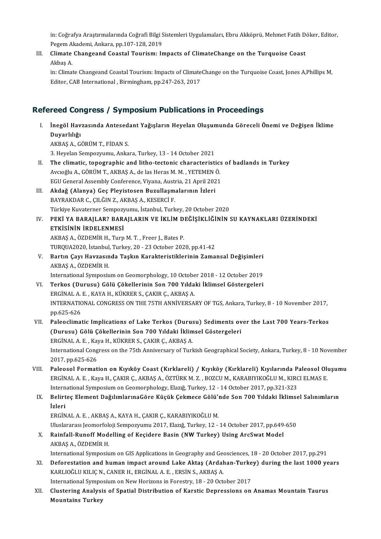in: Coğrafya Araştırmalarında Coğrafi Bilgi Sistemleri Uygulamaları, Ebru Akköprü, Mehmet Fatih Döker, Editor,<br>Pegam Alındami, Ankara, pp.107,128,2019 in: Coğrafya Araştırmalarında Coğrafi Bilgi S<br>Pegem Akademi, Ankara, pp.107-128, 2019<br>Climata Changeand Caastal Tourismu In in: Coğrafya Araştırmalarında Coğrafi Bilgi Sistemleri Uygulamaları, Ebru Akköprü, Mehmet Fatih D<br>Pegem Akademi, Ankara, pp.107-128, 2019<br>III. Climate Changeand Coastal Tourism: Impacts of ClimateChange on the Turquoise Co

Pegem A<br>Cli<mark>mate</mark><br>Akbaş A.<br>in: Climat Climate Changeand Coastal Tourism: Impacts of ClimateChange on the Turquoise Coast<br>Akbaş A.<br>in: Climate Changeand Coastal Tourism: Impacts of ClimateChange on the Turquoise Coast, Jones A,Phillips M,<br>Editor CAP Internation

Akbaş A.<br>in: Climate Changeand Coastal Tourism: Impacts of Climate<br>Editor, CAB International , Birmingham, pp.247-263, 2017

|       | <b>Refereed Congress / Symposium Publications in Proceedings</b>                                                                                                                                             |
|-------|--------------------------------------------------------------------------------------------------------------------------------------------------------------------------------------------------------------|
| Ι.    | İnegöl Havzasında Antesedant Yağışların Heyelan Oluşumunda Göreceli Önemi ve Değişen İklime<br>Duyarlılığı                                                                                                   |
|       | AKBAŞ A, GÖRÜM T, FİDAN S.                                                                                                                                                                                   |
|       | 3. Heyelan Sempozyumu, Ankara, Turkey, 13 - 14 October 2021                                                                                                                                                  |
| Н.    | The climatic, topographic and litho-tectonic characteristics of badlands in Turkey                                                                                                                           |
|       | Avcioğlu A., GÖRÜM T., AKBAŞ A., de las Heras M. M., YETEMEN Ö.                                                                                                                                              |
|       | EGU General Assembly Conference, Viyana, Austria, 21 April 2021                                                                                                                                              |
| III.  | Akdağ (Alanya) Geç Pleyistosen Buzullaşmalarının İzleri                                                                                                                                                      |
|       | BAYRAKDAR C., ÇILĞIN Z., AKBAŞ A., KESERCİ F.                                                                                                                                                                |
|       | Türkiye Kuvaterner Sempozyumu, İstanbul, Turkey, 20 October 2020                                                                                                                                             |
| IV.   | PEKİ YA BARAJLAR? BARAJLARIN VE İKLİM DEĞİŞİKLİĞİNİN SU KAYNAKLARI ÜZERİNDEKİ<br>ETKİSİNİN İRDELENMESİ                                                                                                       |
|       | AKBAŞ A., ÖZDEMİR H., Turp M.T., Freer J., Bates P.                                                                                                                                                          |
|       | TURQUA2020, İstanbul, Turkey, 20 - 23 October 2020, pp.41-42                                                                                                                                                 |
| V.    | Bartın Çayı Havzasında Taşkın Karakteristiklerinin Zamansal Değişimleri                                                                                                                                      |
|       | AKBAŞ A, ÖZDEMİR H.                                                                                                                                                                                          |
|       | International Symposium on Geomorphology, 10 October 2018 - 12 October 2019                                                                                                                                  |
| VI.   | Terkos (Durusu) Gölü Çökellerinin Son 700 Yıldaki İklimsel Göstergeleri                                                                                                                                      |
|       | ERGİNAL A.E., KAYA H., KÜKRER S., ÇAKIR Ç., AKBAŞ A.                                                                                                                                                         |
|       | INTERNATIONAL CONGRESS ON THE 75TH ANNIVERSARY OF TGS, Ankara, Turkey, 8 - 10 November 2017,<br>pp 625 626                                                                                                   |
| VII.  | Paleoclimatic Implications of Lake Terkos (Durusu) Sediments over the Last 700 Years-Terkos                                                                                                                  |
|       | (Durusu) Gölü Çökellerinin Son 700 Yıldaki İklimsel Göstergeleri                                                                                                                                             |
|       | ERGİNAL A.E., Kaya H., KÜKRER S., ÇAKIR Ç., AKBAŞ A.                                                                                                                                                         |
|       | International Congress on the 75th Anniversary of Turkish Geographical Society, Ankara, Turkey, 8 - 10 November<br>2017, pp.625-626                                                                          |
| VIII. | Paleosol Formation on Kıyıköy Coast (Kırklareli) / Kıyıköy (Kırklareli) Kıyılarında Paleosol Oluşumu<br>ERGİNAL A. E., Kaya H., ÇAKIR Ç., AKBAŞ A., ÖZTÜRK M. Z., BOZCU M., KARABIYIKOĞLU M., KIRCI ELMAS E. |
|       | International Symposium on Geomorphology, Elazığ, Turkey, 12 - 14 October 2017, pp.321-323                                                                                                                   |
| IX.   | Belirteç Element DağılımlarınaGöre Küçük Çekmece Gölü'nde Son 700 Yıldaki İklimsel Salınımların                                                                                                              |
|       | <i>izleri</i>                                                                                                                                                                                                |
|       | ERGİNAL A.E., AKBAŞ A., KAYA H., ÇAKIR Ç., KARABIYIKOĞLU M.                                                                                                                                                  |
|       | Uluslararası Jeomorfoloji Sempozyumu 2017, Elazığ, Turkey, 12 - 14 October 2017, pp.649-650                                                                                                                  |
| Х.    | Rainfall-Runoff Modelling of Keçidere Basin (NW Turkey) Using ArcSwat Model                                                                                                                                  |
|       | AKBAŞ A, ÖZDEMİR H.                                                                                                                                                                                          |
|       | International Symposium on GIS Applications in Geography and Geosciences, 18 - 20 October 2017, pp.291                                                                                                       |
| XI.   | Deforestation and human impact around Lake Aktaş (Ardahan-Turkey) during the last 1000 years<br>KARLIOĞLU KILIÇ N., CANER H., ERGİNAL A. E., ERSİN S., AKBAŞ A.                                              |
|       | International Symposium on New Horizons in Forestry, 18 - 20 October 2017                                                                                                                                    |
| XII.  | Clustering Analysis of Spatial Distribution of Karstic Depressions on Anamas Mountain Taurus                                                                                                                 |
|       | <b>Mountains Turkey</b>                                                                                                                                                                                      |
|       |                                                                                                                                                                                                              |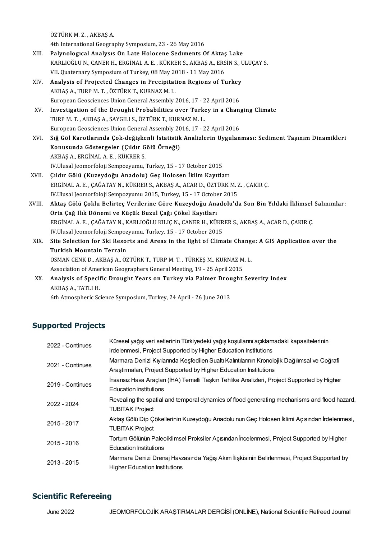ÖZTÜRKM.Z. ,AKBAŞA.

4th International Geography Symposium, 23 - 26 May 2016

- ÖZTÜRK M. Z. , AKBAŞ A.<br>4th International Geography Symposium, 23 26 May 2016<br>XIII. Palynological Analysis On Late Holocene Sediments Of Aktaş Lake<br>KARLIQĞLUN, CANER H. ERCİNAL A E. KÜKRER S. AKRAS A. ERSİN S. H KARLIOĞLU N., CANER H., ERGİNAL A. E. , KÜKRER S., AKBAŞ A., ERSİN S., ULUÇAY S.<br>VII. Quaternary Symposium of Turkey, 08 May 2018 - 11 May 2016 Palynological Analysis On Late Holocene Sediments Of Aktas<br>KARLIOĞLU N., CANER H., ERGİNAL A. E. , KÜKRER S., AKBAŞ A., ERS<br>VII. Quaternary Symposium of Turkey, 08 May 2018 - 11 May 2016<br>Analysis of Projected Changes in Pr KARLIOĞLU N., CANER H., ERGİNAL A. E. , KÜKRER S., AKBAŞ A., ERSİN S., L<br>VII. Quaternary Symposium of Turkey, 08 May 2018 - 11 May 2016<br>XIV. Analysis of Projected Changes in Precipitation Regions of Turkey<br>AKBAS A. TUBB M.
- VII. Quaternary Symposium of Turkey, 08 May 20<br>**Analysis of Projected Changes in Precipitat**<br>AKBAŞ A., TURP M. T. , ÖZTÜRK T., KURNAZ M. L.<br>European Coossianses Union Coneral Assembly Analysis of Projected Changes in Precipitation Regions of Turkey<br>AKBAŞ A., TURP M. T. , ÖZTÜRK T., KURNAZ M. L.<br>European Geosciences Union General Assembly 2016, 17 - 22 April 2016<br>Investigation of the Drought Probabilitie AKBAŞ A., TURP M. T. , ÖZTÜRK T., KURNAZ M. L.<br>European Geosciences Union General Assembly 2016, 17 - 22 April 2016<br>XV. Investigation of the Drought Probabilities over Turkey in a Changing Climate<br>TURR M. T. AKRAS A. SAVCU
- European Geosciences Union General Assembly 2016, 17 2<br>Investigation of the Drought Probabilities over Turke<br>TURP M. T. , AKBAŞ A., SAYGILI S., ÖZTÜRK T., KURNAZ M. L.<br>European Geosciences Union General Assembly 2016, 17 Investigation of the Drought Probabilities over Turkey in a Chang<br>TURP M. T. , AKBAŞ A., SAYGILI S., ÖZTÜRK T., KURNAZ M. L.<br>European Geosciences Union General Assembly 2016, 17 - 22 April 2016<br>Stě Göl Karotlarında Gok doğ European Geosciences Union General Assembly 2016, 17 - 22 April 2016
- TURP M. T. , AKBAŞ A., SAYGILI S., ÖZTÜRK T., KURNAZ M. L.<br>European Geosciences Union General Assembly 2016, 17 22 April 2016<br>XVI. Sığ Göl Karotlarında Çok-değişkenli İstatistik Analizlerin Uygulanması: Sediment Taşı AKBAŞA.,ERGİNALA.E. ,KÜKRERS. IV.Ulusal Jeomorfoloji Sempozyumu, Turkey, 15 - 17 October 2015 AKBAŞ A., ERGİNAL A. E. , KÜKRER S.<br>IV.Ulusal Jeomorfoloji Sempozyumu, Turkey, 15 - 17 October 2015<br>XVII. Cildir Gölü (Kuzeydoğu Anadolu) Geç Holosen İklim Kayıtları
- ERGİNAL A. E. , ÇAĞATAY N., KÜKRER S., AKBAŞ A., ACAR D., ÖZTÜRK M. Z. , ÇAKIR Ç.<br>IV.Ulusal Jeomorfoloji Sempozyumu 2015, Turkey, 15 17 October 2015 Çıldır Gölü (Kuzeydoğu Anadolu) Geç Holosen İklim Kayıtları<br>ERGİNAL A. E. , ÇAĞATAY N., KÜKRER S., AKBAŞ A., ACAR D., ÖZTÜRK M. 2<br>IV.Ulusal Jeomorfoloji Sempozyumu 2015, Turkey, 15 - 17 October 2015<br>Aktas Gölü Gaklu Balint ERGİNAL A. E. , ÇAĞATAY N., KÜKRER S., AKBAŞ A., ACAR D., ÖZTÜRK M. Z. , ÇAKIR Ç.<br>IV.Ulusal Jeomorfoloji Sempozyumu 2015, Turkey, 15 - 17 October 2015<br>XVIII. Aktaş Gölü Çoklu Belirteç Verilerine Göre Kuzeydoğu Anadolu'
- IV.Ulusal Jeomorfoloji Sempozyumu 2015, Turkey, 15 17 Octobe<br>Aktaş Gölü Çoklu Belirteç Verilerine Göre Kuzeydoğu Ana<br>Orta Çağ Ilık Dönemi ve Küçük Buzul Çağı Çökel Kayıtları<br>ERÇİNAL A E. ÇAĞATAY N. KARLIQĞLU KUJC N. ÇANE Aktaş Gölü Çoklu Belirteç Verilerine Göre Kuzeydoğu Anadolu'da Son Bin Yıldaki İklimsel<br>Orta Çağ Ilık Dönemi ve Küçük Buzul Çağı Çökel Kayıtları<br>ERGİNAL A. E. , ÇAĞATAY N., KARLIOĞLU KILIÇ N., CANER H., KÜKRER S., AKBAŞ A. Orta Çağ Ilık Dönemi ve Küçük Buzul Çağı Çökel Kayıtları<br>ERGİNAL A. E. , ÇAĞATAY N., KARLIOĞLU KILIÇ N., CANER H., KÜKR<br>IV.Ulusal Jeomorfoloji Sempozyumu, Turkey, 15 - 17 October 2015<br>Site Selection for Ski Beserts and Are ERGİNAL A. E. , ÇAĞATAY N., KARLIOĞLU KILIÇ N., CANER H., KÜKRER S., AKBAŞ A., ACAR D., ÇAKIR Ç.<br>IV.Ulusal Jeomorfoloji Sempozyumu, Turkey, 15 - 17 October 2015<br>XIX. Site Selection for Ski Resorts and Areas in the ligh
- IV.Ulusal Jeomorfoloji Sempoz<br>Site Selection for Ski Resol<br>Turkish Mountain Terrain<br>OSMAN CENK D. AKRAS A. ÖZ Site Selection for Ski Resorts and Areas in the light of Climate Chang.<br>Turkish Mountain Terrain<br>OSMAN CENK D., AKBAŞ A., ÖZTÜRK T., TURP M. T. , TÜRKEŞ M., KURNAZ M. L.<br>Association of American Coostraphers Coneral Mosting Turkish Mountain Terrain<br>OSMAN CENK D., AKBAŞ A., ÖZTÜRK T., TURP M. T. , TÜRKEŞ M., KURNAZ M. L.<br>Association of American Geographers General Meeting, 19 - 25 April 2015 OSMAN CENK D., AKBAŞ A., ÖZTÜRK T., TURP M. T. , TÜRKEŞ M., KURNAZ M. L.<br>Association of American Geographers General Meeting, 19 - 25 April 2015<br>XX. Analysis of Specific Drought Years on Turkey via Palmer Drought Severity
- Association of Amer<br>**Analysis of Specif**<br>AKBAŞ A., TATLI H.<br><sup>Eth</sup> Atmospheris So Analysis of Specific Drought Years on Turkey via Palmer Drou<br>AKBAŞ A., TATLI H.<br>6th Atmospheric Science Symposium, Turkey, 24 April - 26 June 2013

# Supported Projects

| 2022 - Continues | Küresel yağış veri setlerinin Türkiyedeki yağış koşullarını açıklamadaki kapasitelerinin     |
|------------------|----------------------------------------------------------------------------------------------|
|                  | irdelenmesi, Project Supported by Higher Education Institutions                              |
| 2021 - Continues | Marmara Denizi Kıyılarında Keşfedilen Sualtı Kalıntılarının Kronolojik Dağılımsal ve Coğrafi |
|                  | Arastirmalari, Project Supported by Higher Education Institutions                            |
| 2019 - Continues | İnsansız Hava Araçları (İHA) Temelli Taşkın Tehlike Analizleri, Project Supported by Higher  |
|                  | <b>Education Institutions</b>                                                                |
| 2022 - 2024      | Revealing the spatial and temporal dynamics of flood generating mechanisms and flood hazard, |
|                  | <b>TUBITAK Project</b>                                                                       |
| 2015 - 2017      | Aktaş Gölü Dip Çökellerinin Kuzeydoğu Anadolu nun Geç Holosen İklimi Açısından İrdelenmesi,  |
|                  | <b>TUBITAK Project</b>                                                                       |
| 2015 - 2016      | Tortum Gölünün Paleoiklimsel Proksiler Açısından İncelenmesi, Project Supported by Higher    |
|                  | <b>Education Institutions</b>                                                                |
| $2013 - 2015$    | Marmara Denizi Drenaj Havzasında Yağış Akım İlişkisinin Belirlenmesi, Project Supported by   |
|                  | <b>Higher Education Institutions</b>                                                         |

### Scientific Refereeing